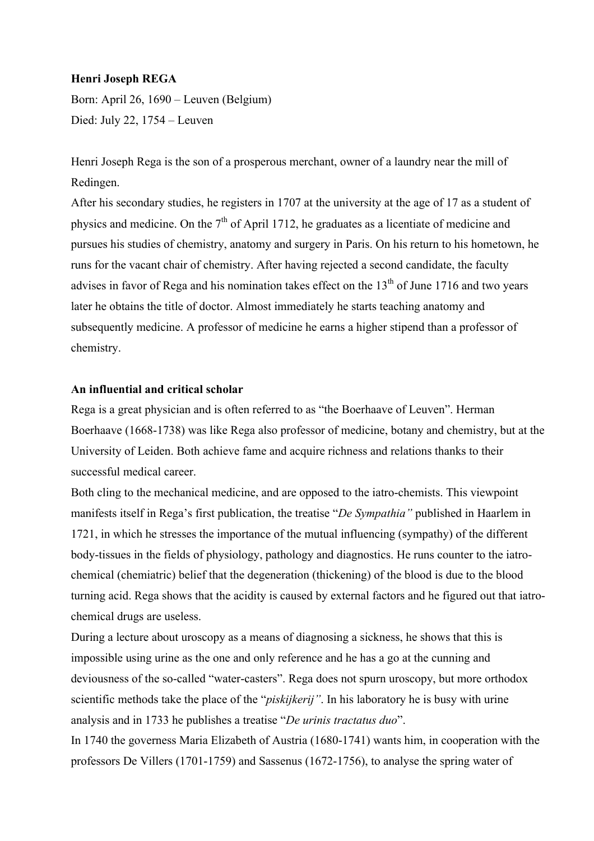## **Henri Joseph REGA**

Born: April 26, 1690 – Leuven (Belgium) Died: July 22, 1754 – Leuven

Henri Joseph Rega is the son of a prosperous merchant, owner of a laundry near the mill of Redingen.

After his secondary studies, he registers in 1707 at the university at the age of 17 as a student of physics and medicine. On the  $7<sup>th</sup>$  of April 1712, he graduates as a licentiate of medicine and pursues his studies of chemistry, anatomy and surgery in Paris. On his return to his hometown, he runs for the vacant chair of chemistry. After having rejected a second candidate, the faculty advises in favor of Rega and his nomination takes effect on the  $13<sup>th</sup>$  of June 1716 and two years later he obtains the title of doctor. Almost immediately he starts teaching anatomy and subsequently medicine. A professor of medicine he earns a higher stipend than a professor of chemistry.

## **An influential and critical scholar**

Rega is a great physician and is often referred to as "the Boerhaave of Leuven". Herman Boerhaave (1668-1738) was like Rega also professor of medicine, botany and chemistry, but at the University of Leiden. Both achieve fame and acquire richness and relations thanks to their successful medical career.

Both cling to the mechanical medicine, and are opposed to the iatro-chemists. This viewpoint manifests itself in Rega's first publication, the treatise "*De Sympathia"* published in Haarlem in 1721, in which he stresses the importance of the mutual influencing (sympathy) of the different body-tissues in the fields of physiology, pathology and diagnostics. He runs counter to the iatrochemical (chemiatric) belief that the degeneration (thickening) of the blood is due to the blood turning acid. Rega shows that the acidity is caused by external factors and he figured out that iatrochemical drugs are useless.

During a lecture about uroscopy as a means of diagnosing a sickness, he shows that this is impossible using urine as the one and only reference and he has a go at the cunning and deviousness of the so-called "water-casters". Rega does not spurn uroscopy, but more orthodox scientific methods take the place of the "*piskijkerij"*. In his laboratory he is busy with urine analysis and in 1733 he publishes a treatise "*De urinis tractatus duo*".

In 1740 the governess Maria Elizabeth of Austria (1680-1741) wants him, in cooperation with the professors De Villers (1701-1759) and Sassenus (1672-1756), to analyse the spring water of